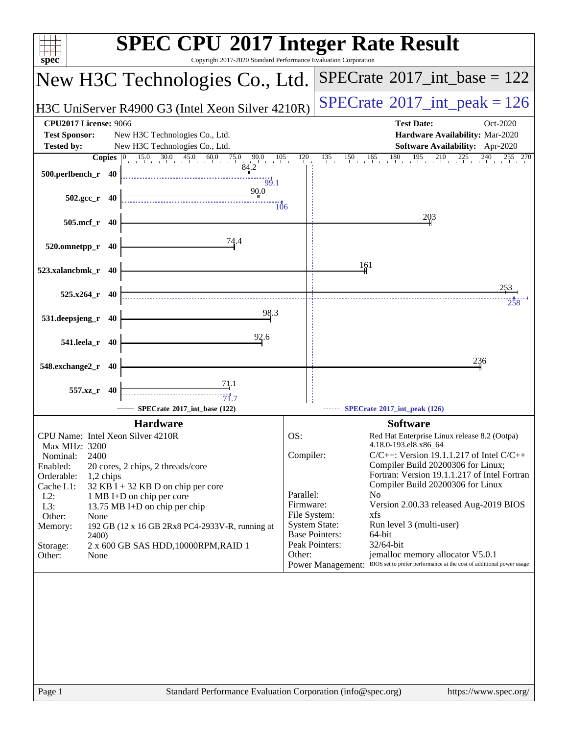| $spec^*$                                                                                                                                                                                                                                                                                                                                                                                                                                                                         | <b>SPEC CPU®2017 Integer Rate Result</b><br>Copyright 2017-2020 Standard Performance Evaluation Corporation                                                                                                                                                                                                                                                                                                                                                                                                                                                                                                                                                                   |
|----------------------------------------------------------------------------------------------------------------------------------------------------------------------------------------------------------------------------------------------------------------------------------------------------------------------------------------------------------------------------------------------------------------------------------------------------------------------------------|-------------------------------------------------------------------------------------------------------------------------------------------------------------------------------------------------------------------------------------------------------------------------------------------------------------------------------------------------------------------------------------------------------------------------------------------------------------------------------------------------------------------------------------------------------------------------------------------------------------------------------------------------------------------------------|
| New H3C Technologies Co., Ltd.                                                                                                                                                                                                                                                                                                                                                                                                                                                   | $SPECrate^{\circledast}2017\_int\_base = 122$                                                                                                                                                                                                                                                                                                                                                                                                                                                                                                                                                                                                                                 |
| H3C UniServer R4900 G3 (Intel Xeon Silver 4210R)                                                                                                                                                                                                                                                                                                                                                                                                                                 | $SPECrate^{\circ}2017\_int\_peak = 126$                                                                                                                                                                                                                                                                                                                                                                                                                                                                                                                                                                                                                                       |
| <b>CPU2017 License: 9066</b><br><b>Test Sponsor:</b><br>New H3C Technologies Co., Ltd.<br><b>Tested by:</b><br>New H3C Technologies Co., Ltd.<br>$15.0$ $\overline{30.0}$ $\overline{45.0}$ $\overline{60.0}$ $\overline{75.0}$<br>$\begin{array}{cccc} 0 & 90.0 & 105 & 120 \\ 84.2 & & & \end{array}$<br><b>Copies</b>                                                                                                                                                         | <b>Test Date:</b><br>Oct-2020<br>Hardware Availability: Mar-2020<br>Software Availability: Apr-2020<br>$135$ $150$ $165$ $180$ $195$ $210$ $225$ $240$ $255$ $270$                                                                                                                                                                                                                                                                                                                                                                                                                                                                                                            |
| 500.perlbench_r 40<br>99.1<br>90.0                                                                                                                                                                                                                                                                                                                                                                                                                                               |                                                                                                                                                                                                                                                                                                                                                                                                                                                                                                                                                                                                                                                                               |
| $502.\text{gcc}_r$ 40<br>$\overline{106}$<br>505.mcf_r 40                                                                                                                                                                                                                                                                                                                                                                                                                        | 203                                                                                                                                                                                                                                                                                                                                                                                                                                                                                                                                                                                                                                                                           |
| 74.4<br>520.omnetpp_r 40                                                                                                                                                                                                                                                                                                                                                                                                                                                         |                                                                                                                                                                                                                                                                                                                                                                                                                                                                                                                                                                                                                                                                               |
| 523.xalancbmk_r 40                                                                                                                                                                                                                                                                                                                                                                                                                                                               | 161                                                                                                                                                                                                                                                                                                                                                                                                                                                                                                                                                                                                                                                                           |
| $525.x264$ r 40<br>98.3                                                                                                                                                                                                                                                                                                                                                                                                                                                          | 253<br>258                                                                                                                                                                                                                                                                                                                                                                                                                                                                                                                                                                                                                                                                    |
| 531.deepsjeng_r<br>40<br>92.6<br>541.leela_r<br>40                                                                                                                                                                                                                                                                                                                                                                                                                               |                                                                                                                                                                                                                                                                                                                                                                                                                                                                                                                                                                                                                                                                               |
| 548.exchange2_r 40                                                                                                                                                                                                                                                                                                                                                                                                                                                               | 236                                                                                                                                                                                                                                                                                                                                                                                                                                                                                                                                                                                                                                                                           |
| 71.1<br>557.xz_r 40<br>$\dddot{7} \dot{1}$ .7<br>SPECrate®2017 int base (122)                                                                                                                                                                                                                                                                                                                                                                                                    | SPECrate®2017_int_peak (126)                                                                                                                                                                                                                                                                                                                                                                                                                                                                                                                                                                                                                                                  |
| <b>Hardware</b><br>CPU Name: Intel Xeon Silver 4210R<br>Max MHz: 3200<br>2400<br>Nominal:<br>Enabled:<br>20 cores, 2 chips, 2 threads/core<br>Orderable:<br>1,2 chips<br>Cache L1:<br>$32$ KB I + 32 KB D on chip per core<br>$L2$ :<br>1 MB I+D on chip per core<br>L3:<br>13.75 MB I+D on chip per chip<br>Other:<br>None<br>192 GB (12 x 16 GB 2Rx8 PC4-2933V-R, running at<br>Memory:<br><b>2400</b> )<br>2 x 600 GB SAS HDD, 10000RPM, RAID 1<br>Storage:<br>Other:<br>None | <b>Software</b><br>OS:<br>Red Hat Enterprise Linux release 8.2 (Ootpa)<br>4.18.0-193.el8.x86_64<br>Compiler:<br>$C/C++$ : Version 19.1.1.217 of Intel $C/C++$<br>Compiler Build 20200306 for Linux;<br>Fortran: Version 19.1.1.217 of Intel Fortran<br>Compiler Build 20200306 for Linux<br>Parallel:<br>N <sub>0</sub><br>Firmware:<br>Version 2.00.33 released Aug-2019 BIOS<br>File System:<br>xfs<br><b>System State:</b><br>Run level 3 (multi-user)<br><b>Base Pointers:</b><br>64-bit<br>Peak Pointers:<br>32/64-bit<br>jemalloc memory allocator V5.0.1<br>Other:<br>BIOS set to prefer performance at the cost of additional power usage<br><b>Power Management:</b> |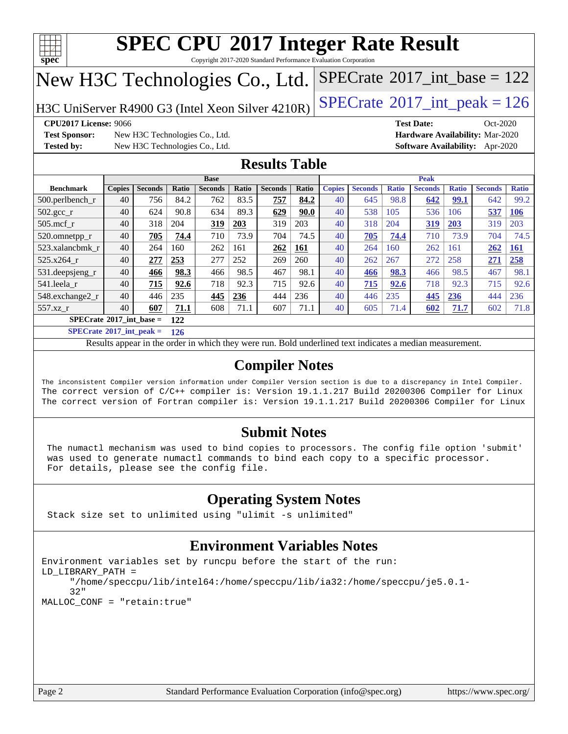

Copyright 2017-2020 Standard Performance Evaluation Corporation

## New H3C Technologies Co., Ltd.

H3C UniServer R4900 G3 (Intel Xeon Silver  $4210R$ ) [SPECrate](http://www.spec.org/auto/cpu2017/Docs/result-fields.html#SPECrate2017intpeak)® [2017\\_int\\_peak = 1](http://www.spec.org/auto/cpu2017/Docs/result-fields.html#SPECrate2017intpeak)26

 $SPECTate@2017_int\_base = 122$ 

**[Test Sponsor:](http://www.spec.org/auto/cpu2017/Docs/result-fields.html#TestSponsor)** New H3C Technologies Co., Ltd. **[Hardware Availability:](http://www.spec.org/auto/cpu2017/Docs/result-fields.html#HardwareAvailability)** Mar-2020 **[Tested by:](http://www.spec.org/auto/cpu2017/Docs/result-fields.html#Testedby)** New H3C Technologies Co., Ltd. **[Software Availability:](http://www.spec.org/auto/cpu2017/Docs/result-fields.html#SoftwareAvailability)** Apr-2020

**[CPU2017 License:](http://www.spec.org/auto/cpu2017/Docs/result-fields.html#CPU2017License)** 9066 **[Test Date:](http://www.spec.org/auto/cpu2017/Docs/result-fields.html#TestDate)** Oct-2020

### **[Results Table](http://www.spec.org/auto/cpu2017/Docs/result-fields.html#ResultsTable)**

|                                   | <b>Base</b>   |                |       |                |       | <b>Peak</b>    |       |               |                |              |                |              |                |              |
|-----------------------------------|---------------|----------------|-------|----------------|-------|----------------|-------|---------------|----------------|--------------|----------------|--------------|----------------|--------------|
| <b>Benchmark</b>                  | <b>Copies</b> | <b>Seconds</b> | Ratio | <b>Seconds</b> | Ratio | <b>Seconds</b> | Ratio | <b>Copies</b> | <b>Seconds</b> | <b>Ratio</b> | <b>Seconds</b> | <b>Ratio</b> | <b>Seconds</b> | <b>Ratio</b> |
| 500.perlbench_r                   | 40            | 756            | 84.2  | 762            | 83.5  | 757            | 84.2  | 40            | 645            | 98.8         | 642            | 99.1         | 642            | 99.2         |
| $502.\text{sec}$ <sub>r</sub>     | 40            | 624            | 90.8  | 634            | 89.3  | 629            | 90.0  | 40            | 538            | 105          | 536            | 106          | 537            | <b>106</b>   |
| $505$ .mcf r                      | 40            | 318            | 204   | 319            | 203   | 319            | 203   | 40            | 318            | 204          | 319            | 203          | 319            | 203          |
| 520.omnetpp_r                     | 40            | 705            | 74.4  | 710            | 73.9  | 704            | 74.5  | 40            | 705            | 74.4         | 710            | 73.9         | 704            | 74.5         |
| 523.xalancbmk r                   | 40            | 264            | 160   | 262            | 161   | 262            | 161   | 40            | 264            | 160          | 262            | 161          | 262            | <b>161</b>   |
| $525.x264$ r                      | 40            | 277            | 253   | 277            | 252   | 269            | 260   | 40            | 262            | 267          | 272            | 258          | 271            | 258          |
| 531.deepsjeng_r                   | 40            | 466            | 98.3  | 466            | 98.5  | 467            | 98.1  | 40            | 466            | 98.3         | 466            | 98.5         | 467            | 98.1         |
| 541.leela r                       | 40            | 715            | 92.6  | 718            | 92.3  | 715            | 92.6  | 40            | 715            | 92.6         | 718            | 92.3         | 715            | 92.6         |
| 548.exchange2_r                   | 40            | 446            | 235   | 445            | 236   | 444            | 236   | 40            | 446            | 235          | 445            | 236          | 444            | 236          |
| 557.xz r                          | 40            | 607            | 71.1  | 608            | 71.1  | 607            | 71.1  | 40            | 605            | 71.4         | 602            | 71.7         | 602            | 71.8         |
| $SPECrate^{\circ}2017$ int base = |               |                | 122   |                |       |                |       |               |                |              |                |              |                |              |

**[SPECrate](http://www.spec.org/auto/cpu2017/Docs/result-fields.html#SPECrate2017intpeak)[2017\\_int\\_peak =](http://www.spec.org/auto/cpu2017/Docs/result-fields.html#SPECrate2017intpeak) 126**

Results appear in the [order in which they were run.](http://www.spec.org/auto/cpu2017/Docs/result-fields.html#RunOrder) Bold underlined text [indicates a median measurement.](http://www.spec.org/auto/cpu2017/Docs/result-fields.html#Median)

#### **[Compiler Notes](http://www.spec.org/auto/cpu2017/Docs/result-fields.html#CompilerNotes)**

The inconsistent Compiler version information under Compiler Version section is due to a discrepancy in Intel Compiler. The correct version of C/C++ compiler is: Version 19.1.1.217 Build 20200306 Compiler for Linux The correct version of Fortran compiler is: Version 19.1.1.217 Build 20200306 Compiler for Linux

### **[Submit Notes](http://www.spec.org/auto/cpu2017/Docs/result-fields.html#SubmitNotes)**

 The numactl mechanism was used to bind copies to processors. The config file option 'submit' was used to generate numactl commands to bind each copy to a specific processor. For details, please see the config file.

### **[Operating System Notes](http://www.spec.org/auto/cpu2017/Docs/result-fields.html#OperatingSystemNotes)**

Stack size set to unlimited using "ulimit -s unlimited"

### **[Environment Variables Notes](http://www.spec.org/auto/cpu2017/Docs/result-fields.html#EnvironmentVariablesNotes)**

```
Environment variables set by runcpu before the start of the run:
LD_LIBRARY_PATH =
      "/home/speccpu/lib/intel64:/home/speccpu/lib/ia32:/home/speccpu/je5.0.1-
      32"
MALLOC_CONF = "retain:true"
```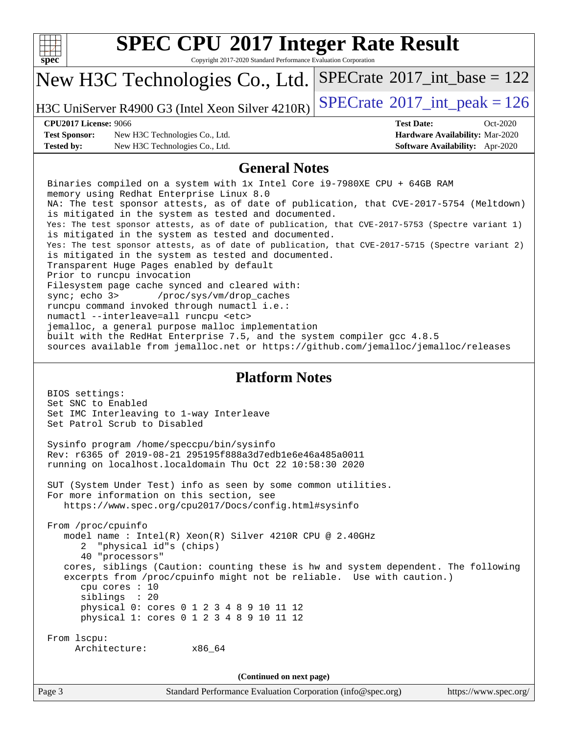| S | u | æ |  |
|---|---|---|--|

Copyright 2017-2020 Standard Performance Evaluation Corporation

#### New H3C Technologies Co., Ltd.  $SPECTate$ <sup>®</sup>[2017\\_int\\_base =](http://www.spec.org/auto/cpu2017/Docs/result-fields.html#SPECrate2017intbase) 122

H3C UniServer R4900 G3 (Intel Xeon Silver  $4210R$ ) [SPECrate](http://www.spec.org/auto/cpu2017/Docs/result-fields.html#SPECrate2017intpeak)<sup>®</sup>[2017\\_int\\_peak = 1](http://www.spec.org/auto/cpu2017/Docs/result-fields.html#SPECrate2017intpeak)26

**[Test Sponsor:](http://www.spec.org/auto/cpu2017/Docs/result-fields.html#TestSponsor)** New H3C Technologies Co., Ltd. **[Hardware Availability:](http://www.spec.org/auto/cpu2017/Docs/result-fields.html#HardwareAvailability)** Mar-2020 **[Tested by:](http://www.spec.org/auto/cpu2017/Docs/result-fields.html#Testedby)** New H3C Technologies Co., Ltd. **[Software Availability:](http://www.spec.org/auto/cpu2017/Docs/result-fields.html#SoftwareAvailability)** Apr-2020

**[CPU2017 License:](http://www.spec.org/auto/cpu2017/Docs/result-fields.html#CPU2017License)** 9066 **[Test Date:](http://www.spec.org/auto/cpu2017/Docs/result-fields.html#TestDate)** Oct-2020

#### **[General Notes](http://www.spec.org/auto/cpu2017/Docs/result-fields.html#GeneralNotes)**

 Binaries compiled on a system with 1x Intel Core i9-7980XE CPU + 64GB RAM memory using Redhat Enterprise Linux 8.0 NA: The test sponsor attests, as of date of publication, that CVE-2017-5754 (Meltdown) is mitigated in the system as tested and documented. Yes: The test sponsor attests, as of date of publication, that CVE-2017-5753 (Spectre variant 1) is mitigated in the system as tested and documented. Yes: The test sponsor attests, as of date of publication, that CVE-2017-5715 (Spectre variant 2) is mitigated in the system as tested and documented. Transparent Huge Pages enabled by default Prior to runcpu invocation Filesystem page cache synced and cleared with: sync; echo 3> /proc/sys/vm/drop\_caches runcpu command invoked through numactl i.e.: numactl --interleave=all runcpu <etc> jemalloc, a general purpose malloc implementation built with the RedHat Enterprise 7.5, and the system compiler gcc 4.8.5 sources available from jemalloc.net or<https://github.com/jemalloc/jemalloc/releases>

#### **[Platform Notes](http://www.spec.org/auto/cpu2017/Docs/result-fields.html#PlatformNotes)**

 BIOS settings: Set SNC to Enabled Set IMC Interleaving to 1-way Interleave Set Patrol Scrub to Disabled Sysinfo program /home/speccpu/bin/sysinfo Rev: r6365 of 2019-08-21 295195f888a3d7edb1e6e46a485a0011 running on localhost.localdomain Thu Oct 22 10:58:30 2020 SUT (System Under Test) info as seen by some common utilities. For more information on this section, see <https://www.spec.org/cpu2017/Docs/config.html#sysinfo> From /proc/cpuinfo model name : Intel(R) Xeon(R) Silver 4210R CPU @ 2.40GHz 2 "physical id"s (chips) 40 "processors" cores, siblings (Caution: counting these is hw and system dependent. The following excerpts from /proc/cpuinfo might not be reliable. Use with caution.) cpu cores : 10 siblings : 20 physical 0: cores 0 1 2 3 4 8 9 10 11 12 physical 1: cores 0 1 2 3 4 8 9 10 11 12 From lscpu: Architecture: x86\_64 **(Continued on next page)**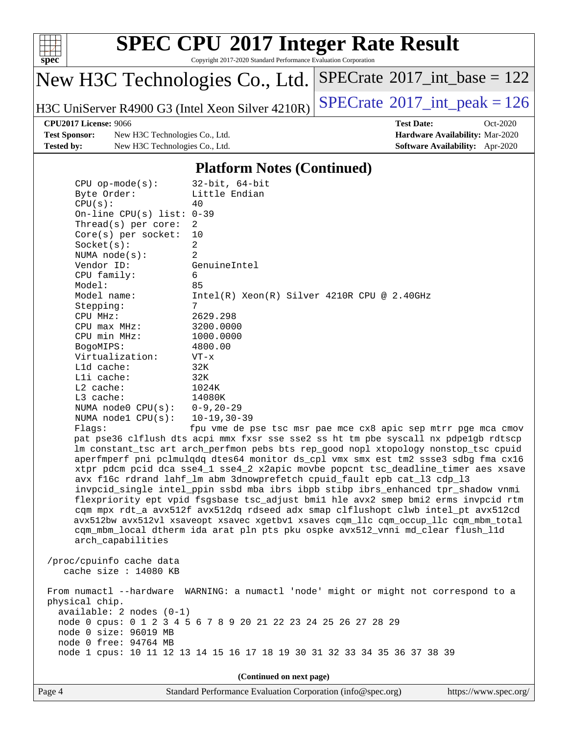

Copyright 2017-2020 Standard Performance Evaluation Corporation

# New H3C Technologies Co., Ltd.

H3C UniServer R4900 G3 (Intel Xeon Silver  $4210R$ ) [SPECrate](http://www.spec.org/auto/cpu2017/Docs/result-fields.html#SPECrate2017intpeak)<sup>®</sup>[2017\\_int\\_peak = 1](http://www.spec.org/auto/cpu2017/Docs/result-fields.html#SPECrate2017intpeak)26

 $SPECrate$ <sup>®</sup>[2017\\_int\\_base =](http://www.spec.org/auto/cpu2017/Docs/result-fields.html#SPECrate2017intbase) 122

**[Test Sponsor:](http://www.spec.org/auto/cpu2017/Docs/result-fields.html#TestSponsor)** New H3C Technologies Co., Ltd. **[Hardware Availability:](http://www.spec.org/auto/cpu2017/Docs/result-fields.html#HardwareAvailability)** Mar-2020 **[Tested by:](http://www.spec.org/auto/cpu2017/Docs/result-fields.html#Testedby)** New H3C Technologies Co., Ltd. **[Software Availability:](http://www.spec.org/auto/cpu2017/Docs/result-fields.html#SoftwareAvailability)** Apr-2020

**[CPU2017 License:](http://www.spec.org/auto/cpu2017/Docs/result-fields.html#CPU2017License)** 9066 **[Test Date:](http://www.spec.org/auto/cpu2017/Docs/result-fields.html#TestDate)** Oct-2020

#### **[Platform Notes \(Continued\)](http://www.spec.org/auto/cpu2017/Docs/result-fields.html#PlatformNotes)**

| $CPU$ op-mode( $s$ ):                               | $32$ -bit, $64$ -bit                                                                                                                                                                                                                                                                                                                                                                                                                                                                                                                                                                                                                                                                                                                                                                                                                                                     |  |  |  |
|-----------------------------------------------------|--------------------------------------------------------------------------------------------------------------------------------------------------------------------------------------------------------------------------------------------------------------------------------------------------------------------------------------------------------------------------------------------------------------------------------------------------------------------------------------------------------------------------------------------------------------------------------------------------------------------------------------------------------------------------------------------------------------------------------------------------------------------------------------------------------------------------------------------------------------------------|--|--|--|
| Byte Order:                                         | Little Endian                                                                                                                                                                                                                                                                                                                                                                                                                                                                                                                                                                                                                                                                                                                                                                                                                                                            |  |  |  |
| CPU(s):                                             | 40                                                                                                                                                                                                                                                                                                                                                                                                                                                                                                                                                                                                                                                                                                                                                                                                                                                                       |  |  |  |
| On-line CPU(s) list: $0-39$                         |                                                                                                                                                                                                                                                                                                                                                                                                                                                                                                                                                                                                                                                                                                                                                                                                                                                                          |  |  |  |
| Thread(s) per core:                                 | 2                                                                                                                                                                                                                                                                                                                                                                                                                                                                                                                                                                                                                                                                                                                                                                                                                                                                        |  |  |  |
| $Core(s)$ per socket:                               | 10                                                                                                                                                                                                                                                                                                                                                                                                                                                                                                                                                                                                                                                                                                                                                                                                                                                                       |  |  |  |
| Socket(s):                                          | $\overline{2}$                                                                                                                                                                                                                                                                                                                                                                                                                                                                                                                                                                                                                                                                                                                                                                                                                                                           |  |  |  |
| NUMA $node(s)$ :                                    | $\overline{2}$                                                                                                                                                                                                                                                                                                                                                                                                                                                                                                                                                                                                                                                                                                                                                                                                                                                           |  |  |  |
| Vendor ID:                                          | GenuineIntel                                                                                                                                                                                                                                                                                                                                                                                                                                                                                                                                                                                                                                                                                                                                                                                                                                                             |  |  |  |
| CPU family:                                         | 6                                                                                                                                                                                                                                                                                                                                                                                                                                                                                                                                                                                                                                                                                                                                                                                                                                                                        |  |  |  |
| Model:                                              | 85                                                                                                                                                                                                                                                                                                                                                                                                                                                                                                                                                                                                                                                                                                                                                                                                                                                                       |  |  |  |
| Model name:                                         | $Intel(R) Xeon(R) Silver 4210R CPU @ 2.40GHz$                                                                                                                                                                                                                                                                                                                                                                                                                                                                                                                                                                                                                                                                                                                                                                                                                            |  |  |  |
| Stepping:                                           | 7                                                                                                                                                                                                                                                                                                                                                                                                                                                                                                                                                                                                                                                                                                                                                                                                                                                                        |  |  |  |
| CPU MHz:                                            | 2629.298                                                                                                                                                                                                                                                                                                                                                                                                                                                                                                                                                                                                                                                                                                                                                                                                                                                                 |  |  |  |
| CPU max MHz:                                        | 3200.0000                                                                                                                                                                                                                                                                                                                                                                                                                                                                                                                                                                                                                                                                                                                                                                                                                                                                |  |  |  |
| CPU min MHz:                                        | 1000.0000                                                                                                                                                                                                                                                                                                                                                                                                                                                                                                                                                                                                                                                                                                                                                                                                                                                                |  |  |  |
| BogoMIPS:                                           | 4800.00                                                                                                                                                                                                                                                                                                                                                                                                                                                                                                                                                                                                                                                                                                                                                                                                                                                                  |  |  |  |
| Virtualization:                                     | $VT - x$                                                                                                                                                                                                                                                                                                                                                                                                                                                                                                                                                                                                                                                                                                                                                                                                                                                                 |  |  |  |
| L1d cache:                                          | 32K                                                                                                                                                                                                                                                                                                                                                                                                                                                                                                                                                                                                                                                                                                                                                                                                                                                                      |  |  |  |
| Lli cache:                                          | 32K                                                                                                                                                                                                                                                                                                                                                                                                                                                                                                                                                                                                                                                                                                                                                                                                                                                                      |  |  |  |
| L2 cache:                                           | 1024K                                                                                                                                                                                                                                                                                                                                                                                                                                                                                                                                                                                                                                                                                                                                                                                                                                                                    |  |  |  |
| $L3$ cache:                                         | 14080K                                                                                                                                                                                                                                                                                                                                                                                                                                                                                                                                                                                                                                                                                                                                                                                                                                                                   |  |  |  |
| NUMA node0 CPU(s): 0-9,20-29                        |                                                                                                                                                                                                                                                                                                                                                                                                                                                                                                                                                                                                                                                                                                                                                                                                                                                                          |  |  |  |
| NUMA $node1$ $CPU(s):$                              | $10 - 19, 30 - 39$                                                                                                                                                                                                                                                                                                                                                                                                                                                                                                                                                                                                                                                                                                                                                                                                                                                       |  |  |  |
| Flagg:                                              | fpu vme de pse tsc msr pae mce cx8 apic sep mtrr pge mca cmov                                                                                                                                                                                                                                                                                                                                                                                                                                                                                                                                                                                                                                                                                                                                                                                                            |  |  |  |
| arch_capabilities                                   | pat pse36 clflush dts acpi mmx fxsr sse sse2 ss ht tm pbe syscall nx pdpelgb rdtscp<br>lm constant_tsc art arch_perfmon pebs bts rep_good nopl xtopology nonstop_tsc cpuid<br>aperfmperf pni pclmulqdq dtes64 monitor ds_cpl vmx smx est tm2 ssse3 sdbg fma cx16<br>xtpr pdcm pcid dca sse4_1 sse4_2 x2apic movbe popcnt tsc_deadline_timer aes xsave<br>avx f16c rdrand lahf_lm abm 3dnowprefetch cpuid_fault epb cat_13 cdp_13<br>invpcid_single intel_ppin ssbd mba ibrs ibpb stibp ibrs_enhanced tpr_shadow vnmi<br>flexpriority ept vpid fsgsbase tsc_adjust bmil hle avx2 smep bmi2 erms invpcid rtm<br>cqm mpx rdt_a avx512f avx512dq rdseed adx smap clflushopt clwb intel_pt avx512cd<br>avx512bw avx512vl xsaveopt xsavec xgetbvl xsaves cqm_llc cqm_occup_llc cqm_mbm_total<br>cqm_mbm_local dtherm ida arat pln pts pku ospke avx512_vnni md_clear flush_l1d |  |  |  |
| /proc/cpuinfo cache data<br>cache size $: 14080$ KB |                                                                                                                                                                                                                                                                                                                                                                                                                                                                                                                                                                                                                                                                                                                                                                                                                                                                          |  |  |  |
| From numactl --hardware<br>physical chip.           | WARNING: a numactl 'node' might or might not correspond to a                                                                                                                                                                                                                                                                                                                                                                                                                                                                                                                                                                                                                                                                                                                                                                                                             |  |  |  |
| $available: 2 nodes (0-1)$<br>node 0 size: 96019 MB | node 0 cpus: 0 1 2 3 4 5 6 7 8 9 20 21 22 23 24 25 26 27 28 29                                                                                                                                                                                                                                                                                                                                                                                                                                                                                                                                                                                                                                                                                                                                                                                                           |  |  |  |
| node 0 free: 94764 MB                               | node 1 cpus: 10 11 12 13 14 15 16 17 18 19 30 31 32 33 34 35 36 37 38 39                                                                                                                                                                                                                                                                                                                                                                                                                                                                                                                                                                                                                                                                                                                                                                                                 |  |  |  |
| (Continued on next page)                            |                                                                                                                                                                                                                                                                                                                                                                                                                                                                                                                                                                                                                                                                                                                                                                                                                                                                          |  |  |  |
|                                                     |                                                                                                                                                                                                                                                                                                                                                                                                                                                                                                                                                                                                                                                                                                                                                                                                                                                                          |  |  |  |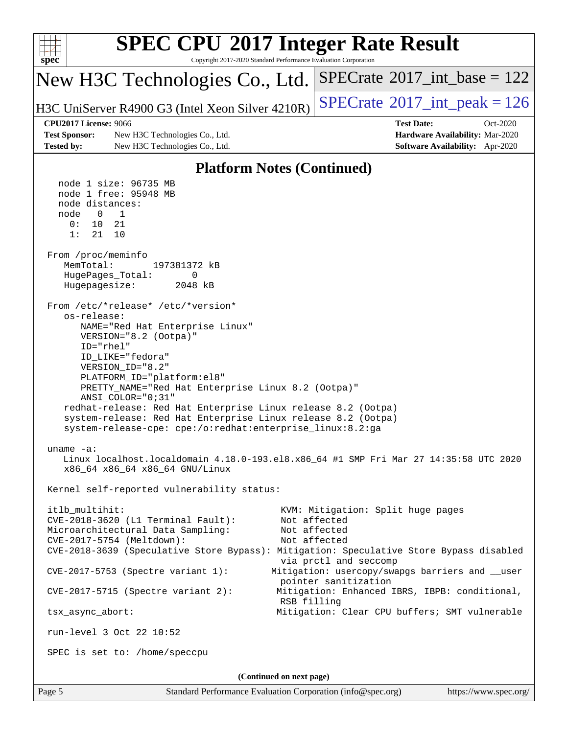| <b>SPEC CPU®2017 Integer Rate Result</b><br>Copyright 2017-2020 Standard Performance Evaluation Corporation<br>spec <sup>®</sup>                                                                                                                                                                                                                                                                                                                                                                                                                                                                                                                                                                                                                                                                                                                                                                                                                                                                                                                                                                                                                                                                                                                                                           |                                                                                                                                                                                                                                                                                         |
|--------------------------------------------------------------------------------------------------------------------------------------------------------------------------------------------------------------------------------------------------------------------------------------------------------------------------------------------------------------------------------------------------------------------------------------------------------------------------------------------------------------------------------------------------------------------------------------------------------------------------------------------------------------------------------------------------------------------------------------------------------------------------------------------------------------------------------------------------------------------------------------------------------------------------------------------------------------------------------------------------------------------------------------------------------------------------------------------------------------------------------------------------------------------------------------------------------------------------------------------------------------------------------------------|-----------------------------------------------------------------------------------------------------------------------------------------------------------------------------------------------------------------------------------------------------------------------------------------|
| New H3C Technologies Co., Ltd.                                                                                                                                                                                                                                                                                                                                                                                                                                                                                                                                                                                                                                                                                                                                                                                                                                                                                                                                                                                                                                                                                                                                                                                                                                                             | $SPECrate^{\circ}2017\_int\_base = 122$                                                                                                                                                                                                                                                 |
| H3C UniServer R4900 G3 (Intel Xeon Silver 4210R)                                                                                                                                                                                                                                                                                                                                                                                                                                                                                                                                                                                                                                                                                                                                                                                                                                                                                                                                                                                                                                                                                                                                                                                                                                           | $SPECrate^{\circ}2017\_int\_peak = 126$                                                                                                                                                                                                                                                 |
| <b>CPU2017 License: 9066</b><br><b>Test Sponsor:</b><br>New H3C Technologies Co., Ltd.<br><b>Tested by:</b><br>New H3C Technologies Co., Ltd.                                                                                                                                                                                                                                                                                                                                                                                                                                                                                                                                                                                                                                                                                                                                                                                                                                                                                                                                                                                                                                                                                                                                              | <b>Test Date:</b><br>$Oct-2020$<br>Hardware Availability: Mar-2020<br>Software Availability: Apr-2020                                                                                                                                                                                   |
|                                                                                                                                                                                                                                                                                                                                                                                                                                                                                                                                                                                                                                                                                                                                                                                                                                                                                                                                                                                                                                                                                                                                                                                                                                                                                            |                                                                                                                                                                                                                                                                                         |
| <b>Platform Notes (Continued)</b><br>node 1 size: 96735 MB<br>node 1 free: 95948 MB<br>node distances:<br>$\mathbf{0}$<br>node<br>1<br>0:<br>10<br>21<br>1:<br>21<br>10<br>From /proc/meminfo<br>MemTotal:<br>197381372 kB<br>HugePages_Total:<br>0<br>Hugepagesize:<br>2048 kB<br>From /etc/*release* /etc/*version*<br>os-release:<br>NAME="Red Hat Enterprise Linux"<br>VERSION="8.2 (Ootpa)"<br>ID="rhel"<br>ID_LIKE="fedora"<br>VERSION_ID="8.2"<br>PLATFORM_ID="platform:el8"<br>PRETTY_NAME="Red Hat Enterprise Linux 8.2 (Ootpa)"<br>ANSI_COLOR="0;31"<br>redhat-release: Red Hat Enterprise Linux release 8.2 (Ootpa)<br>system-release: Red Hat Enterprise Linux release 8.2 (Ootpa)<br>system-release-cpe: cpe:/o:redhat:enterprise_linux:8.2:ga<br>uname $-a$ :<br>Linux localhost.localdomain 4.18.0-193.el8.x86_64 #1 SMP Fri Mar 27 14:35:58 UTC 2020<br>x86_64 x86_64 x86_64 GNU/Linux<br>Kernel self-reported vulnerability status:<br>itlb_multihit:<br>CVE-2018-3620 (L1 Terminal Fault):<br>Microarchitectural Data Sampling:<br>CVE-2017-5754 (Meltdown):<br>CVE-2018-3639 (Speculative Store Bypass): Mitigation: Speculative Store Bypass disabled<br>CVE-2017-5753 (Spectre variant 1):<br>$CVE-2017-5715$ (Spectre variant 2):<br>RSB filling<br>tsx_async_abort: | KVM: Mitigation: Split huge pages<br>Not affected<br>Not affected<br>Not affected<br>via prctl and seccomp<br>Mitigation: usercopy/swapgs barriers and __user<br>pointer sanitization<br>Mitigation: Enhanced IBRS, IBPB: conditional,<br>Mitigation: Clear CPU buffers; SMT vulnerable |
| run-level 3 Oct 22 10:52                                                                                                                                                                                                                                                                                                                                                                                                                                                                                                                                                                                                                                                                                                                                                                                                                                                                                                                                                                                                                                                                                                                                                                                                                                                                   |                                                                                                                                                                                                                                                                                         |
| SPEC is set to: /home/speccpu                                                                                                                                                                                                                                                                                                                                                                                                                                                                                                                                                                                                                                                                                                                                                                                                                                                                                                                                                                                                                                                                                                                                                                                                                                                              |                                                                                                                                                                                                                                                                                         |
| (Continued on next page)                                                                                                                                                                                                                                                                                                                                                                                                                                                                                                                                                                                                                                                                                                                                                                                                                                                                                                                                                                                                                                                                                                                                                                                                                                                                   |                                                                                                                                                                                                                                                                                         |
| Page 5<br>Standard Performance Evaluation Corporation (info@spec.org)                                                                                                                                                                                                                                                                                                                                                                                                                                                                                                                                                                                                                                                                                                                                                                                                                                                                                                                                                                                                                                                                                                                                                                                                                      | https://www.spec.org/                                                                                                                                                                                                                                                                   |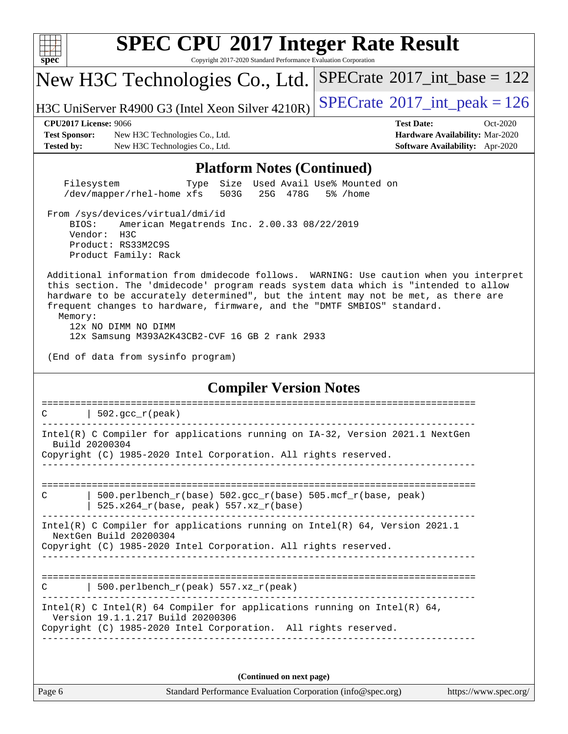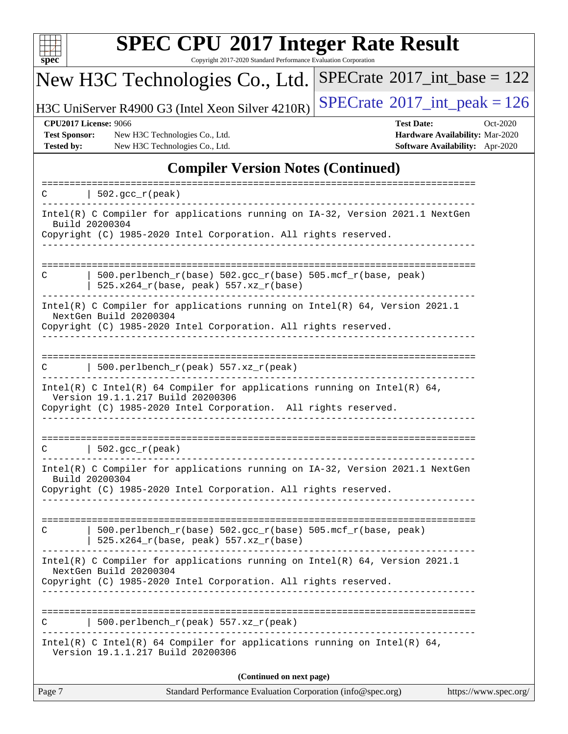

Copyright 2017-2020 Standard Performance Evaluation Corporation

#### New H3C Technologies Co., Ltd.  $SPECrate$ <sup>®</sup>[2017\\_int\\_base =](http://www.spec.org/auto/cpu2017/Docs/result-fields.html#SPECrate2017intbase) 122

H3C UniServer R4900 G3 (Intel Xeon Silver  $4210R$ ) [SPECrate](http://www.spec.org/auto/cpu2017/Docs/result-fields.html#SPECrate2017intpeak)<sup>®</sup>[2017\\_int\\_peak = 1](http://www.spec.org/auto/cpu2017/Docs/result-fields.html#SPECrate2017intpeak)26

**[Test Sponsor:](http://www.spec.org/auto/cpu2017/Docs/result-fields.html#TestSponsor)** New H3C Technologies Co., Ltd. **[Hardware Availability:](http://www.spec.org/auto/cpu2017/Docs/result-fields.html#HardwareAvailability)** Mar-2020 **[Tested by:](http://www.spec.org/auto/cpu2017/Docs/result-fields.html#Testedby)** New H3C Technologies Co., Ltd. **[Software Availability:](http://www.spec.org/auto/cpu2017/Docs/result-fields.html#SoftwareAvailability)** Apr-2020

**[CPU2017 License:](http://www.spec.org/auto/cpu2017/Docs/result-fields.html#CPU2017License)** 9066 **[Test Date:](http://www.spec.org/auto/cpu2017/Docs/result-fields.html#TestDate)** Oct-2020

### **[Compiler Version Notes \(Continued\)](http://www.spec.org/auto/cpu2017/Docs/result-fields.html#CompilerVersionNotes)**

| Page 7        | Standard Performance Evaluation Corporation (info@spec.org)                                                                                                                 | https://www.spec.org/ |
|---------------|-----------------------------------------------------------------------------------------------------------------------------------------------------------------------------|-----------------------|
|               | (Continued on next page)                                                                                                                                                    |                       |
|               | Intel(R) C Intel(R) 64 Compiler for applications running on Intel(R) 64,<br>Version 19.1.1.217 Build 20200306                                                               |                       |
| С             | 500.perlbench_r(peak) 557.xz_r(peak)                                                                                                                                        |                       |
|               | Intel(R) C Compiler for applications running on $Intel(R) 64$ , Version 2021.1<br>NextGen Build 20200304<br>Copyright (C) 1985-2020 Intel Corporation. All rights reserved. |                       |
| C             | 500.perlbench_r(base) 502.gcc_r(base) 505.mcf_r(base, peak)<br>$525.x264_r(base, peak) 557.xz_r(base)$                                                                      |                       |
|               | Build 20200304<br>Copyright (C) 1985-2020 Intel Corporation. All rights reserved.                                                                                           |                       |
|               | Intel(R) C Compiler for applications running on IA-32, Version 2021.1 NextGen                                                                                               |                       |
| $\mathcal{C}$ | $\vert$ 502.gcc_r(peak)                                                                                                                                                     |                       |
|               | Version 19.1.1.217 Build 20200306<br>Copyright (C) 1985-2020 Intel Corporation. All rights reserved.<br>-------------                                                       |                       |
|               | Intel(R) C Intel(R) 64 Compiler for applications running on Intel(R) 64,                                                                                                    |                       |
| C             | 500.perlbench_r(peak) 557.xz_r(peak)                                                                                                                                        |                       |
|               | NextGen Build 20200304<br>Copyright (C) 1985-2020 Intel Corporation. All rights reserved.                                                                                   |                       |
|               | Intel(R) C Compiler for applications running on $Intel(R) 64$ , Version 2021.1                                                                                              |                       |
| C             | $500. perlbench_r(base) 502. gcc_r(base) 505.mcf_r(base, peak)$<br>$525.x264_r(base, peak) 557.xz_r(base)$                                                                  |                       |
|               | Copyright (C) 1985-2020 Intel Corporation. All rights reserved.                                                                                                             |                       |
|               | Intel(R) C Compiler for applications running on IA-32, Version 2021.1 NextGen<br>Build 20200304                                                                             |                       |
| C             | $\vert$ 502.gcc_r(peak)                                                                                                                                                     |                       |
|               |                                                                                                                                                                             |                       |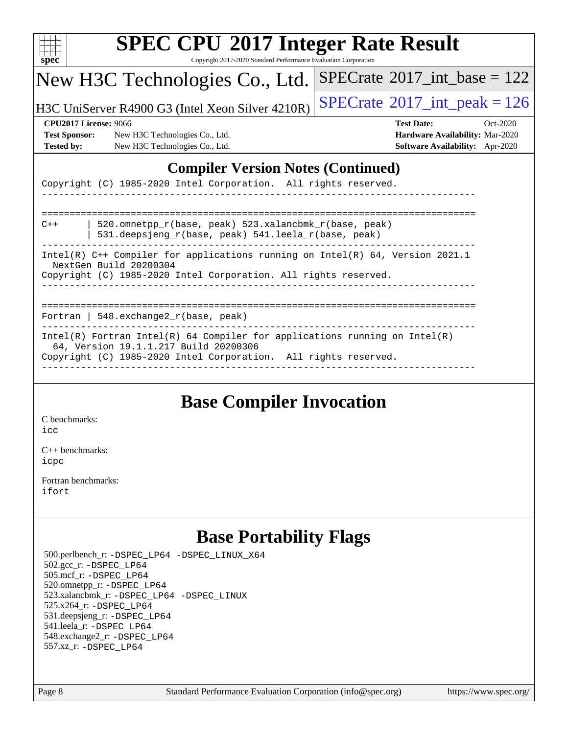| v.<br>ť<br>ù. |  |  |  |  |  |
|---------------|--|--|--|--|--|

Copyright 2017-2020 Standard Performance Evaluation Corporation

## New H3C Technologies Co., Ltd.

H3C UniServer R4900 G3 (Intel Xeon Silver 4210R)  $\big|\operatorname{SPECrate}_{2017}\big|$  $\big|\operatorname{SPECrate}_{2017}\big|$  $\big|\operatorname{SPECrate}_{2017}\big|$  int\_peak = 126

 $SPECrate$ <sup>®</sup>[2017\\_int\\_base =](http://www.spec.org/auto/cpu2017/Docs/result-fields.html#SPECrate2017intbase) 122

**[Test Sponsor:](http://www.spec.org/auto/cpu2017/Docs/result-fields.html#TestSponsor)** New H3C Technologies Co., Ltd. **[Hardware Availability:](http://www.spec.org/auto/cpu2017/Docs/result-fields.html#HardwareAvailability)** Mar-2020 **[Tested by:](http://www.spec.org/auto/cpu2017/Docs/result-fields.html#Testedby)** New H3C Technologies Co., Ltd. **[Software Availability:](http://www.spec.org/auto/cpu2017/Docs/result-fields.html#SoftwareAvailability)** Apr-2020

**[CPU2017 License:](http://www.spec.org/auto/cpu2017/Docs/result-fields.html#CPU2017License)** 9066 **[Test Date:](http://www.spec.org/auto/cpu2017/Docs/result-fields.html#TestDate)** Oct-2020

### **[Compiler Version Notes \(Continued\)](http://www.spec.org/auto/cpu2017/Docs/result-fields.html#CompilerVersionNotes)**

Copyright (C) 1985-2020 Intel Corporation. All rights reserved.

| $C++$                                                                                                                                                                        | 520.omnetpp $r(base, peak)$ 523.xalancbmk $r(base, peak)$<br>531.deepsjeng_r(base, peak) 541.leela_r(base, peak)                                                                       |  |  |
|------------------------------------------------------------------------------------------------------------------------------------------------------------------------------|----------------------------------------------------------------------------------------------------------------------------------------------------------------------------------------|--|--|
| Intel(R) $C++$ Compiler for applications running on Intel(R) 64, Version 2021.1<br>NextGen Build 20200304<br>Copyright (C) 1985-2020 Intel Corporation. All rights reserved. |                                                                                                                                                                                        |  |  |
|                                                                                                                                                                              | Fortran   548. $exchange2 r(base, peak)$                                                                                                                                               |  |  |
|                                                                                                                                                                              | Intel(R) Fortran Intel(R) 64 Compiler for applications running on Intel(R)<br>64, Version 19.1.1.217 Build 20200306<br>Copyright (C) 1985-2020 Intel Corporation. All rights reserved. |  |  |

## **[Base Compiler Invocation](http://www.spec.org/auto/cpu2017/Docs/result-fields.html#BaseCompilerInvocation)**

[C benchmarks](http://www.spec.org/auto/cpu2017/Docs/result-fields.html#Cbenchmarks):

[icc](http://www.spec.org/cpu2017/results/res2020q4/cpu2017-20201027-24319.flags.html#user_CCbase_intel_icc_66fc1ee009f7361af1fbd72ca7dcefbb700085f36577c54f309893dd4ec40d12360134090235512931783d35fd58c0460139e722d5067c5574d8eaf2b3e37e92)

[C++ benchmarks:](http://www.spec.org/auto/cpu2017/Docs/result-fields.html#CXXbenchmarks) [icpc](http://www.spec.org/cpu2017/results/res2020q4/cpu2017-20201027-24319.flags.html#user_CXXbase_intel_icpc_c510b6838c7f56d33e37e94d029a35b4a7bccf4766a728ee175e80a419847e808290a9b78be685c44ab727ea267ec2f070ec5dc83b407c0218cded6866a35d07)

[Fortran benchmarks](http://www.spec.org/auto/cpu2017/Docs/result-fields.html#Fortranbenchmarks): [ifort](http://www.spec.org/cpu2017/results/res2020q4/cpu2017-20201027-24319.flags.html#user_FCbase_intel_ifort_8111460550e3ca792625aed983ce982f94888b8b503583aa7ba2b8303487b4d8a21a13e7191a45c5fd58ff318f48f9492884d4413fa793fd88dd292cad7027ca)

## **[Base Portability Flags](http://www.spec.org/auto/cpu2017/Docs/result-fields.html#BasePortabilityFlags)**

 500.perlbench\_r: [-DSPEC\\_LP64](http://www.spec.org/cpu2017/results/res2020q4/cpu2017-20201027-24319.flags.html#b500.perlbench_r_basePORTABILITY_DSPEC_LP64) [-DSPEC\\_LINUX\\_X64](http://www.spec.org/cpu2017/results/res2020q4/cpu2017-20201027-24319.flags.html#b500.perlbench_r_baseCPORTABILITY_DSPEC_LINUX_X64) 502.gcc\_r: [-DSPEC\\_LP64](http://www.spec.org/cpu2017/results/res2020q4/cpu2017-20201027-24319.flags.html#suite_basePORTABILITY502_gcc_r_DSPEC_LP64) 505.mcf\_r: [-DSPEC\\_LP64](http://www.spec.org/cpu2017/results/res2020q4/cpu2017-20201027-24319.flags.html#suite_basePORTABILITY505_mcf_r_DSPEC_LP64) 520.omnetpp\_r: [-DSPEC\\_LP64](http://www.spec.org/cpu2017/results/res2020q4/cpu2017-20201027-24319.flags.html#suite_basePORTABILITY520_omnetpp_r_DSPEC_LP64) 523.xalancbmk\_r: [-DSPEC\\_LP64](http://www.spec.org/cpu2017/results/res2020q4/cpu2017-20201027-24319.flags.html#suite_basePORTABILITY523_xalancbmk_r_DSPEC_LP64) [-DSPEC\\_LINUX](http://www.spec.org/cpu2017/results/res2020q4/cpu2017-20201027-24319.flags.html#b523.xalancbmk_r_baseCXXPORTABILITY_DSPEC_LINUX) 525.x264\_r: [-DSPEC\\_LP64](http://www.spec.org/cpu2017/results/res2020q4/cpu2017-20201027-24319.flags.html#suite_basePORTABILITY525_x264_r_DSPEC_LP64) 531.deepsjeng\_r: [-DSPEC\\_LP64](http://www.spec.org/cpu2017/results/res2020q4/cpu2017-20201027-24319.flags.html#suite_basePORTABILITY531_deepsjeng_r_DSPEC_LP64) 541.leela\_r: [-DSPEC\\_LP64](http://www.spec.org/cpu2017/results/res2020q4/cpu2017-20201027-24319.flags.html#suite_basePORTABILITY541_leela_r_DSPEC_LP64) 548.exchange2\_r: [-DSPEC\\_LP64](http://www.spec.org/cpu2017/results/res2020q4/cpu2017-20201027-24319.flags.html#suite_basePORTABILITY548_exchange2_r_DSPEC_LP64) 557.xz\_r: [-DSPEC\\_LP64](http://www.spec.org/cpu2017/results/res2020q4/cpu2017-20201027-24319.flags.html#suite_basePORTABILITY557_xz_r_DSPEC_LP64)

Page 8 Standard Performance Evaluation Corporation [\(info@spec.org\)](mailto:info@spec.org) <https://www.spec.org/>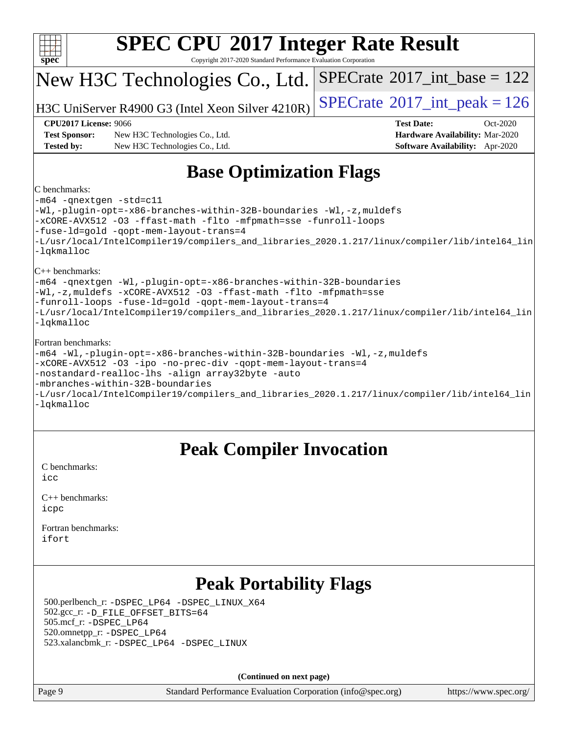

**(Continued on next page)**

Page 9 Standard Performance Evaluation Corporation [\(info@spec.org\)](mailto:info@spec.org) <https://www.spec.org/>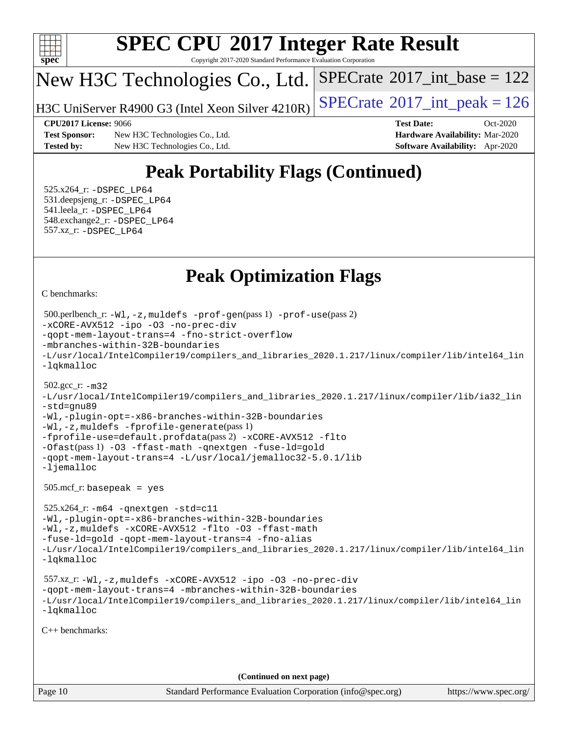

Copyright 2017-2020 Standard Performance Evaluation Corporation

## New H3C Technologies Co., Ltd.

H3C UniServer R4900 G3 (Intel Xeon Silver  $4210R$ ) [SPECrate](http://www.spec.org/auto/cpu2017/Docs/result-fields.html#SPECrate2017intpeak)<sup>®</sup>[2017\\_int\\_peak = 1](http://www.spec.org/auto/cpu2017/Docs/result-fields.html#SPECrate2017intpeak)26

 $SPECTate$ <sup>®</sup>[2017\\_int\\_base =](http://www.spec.org/auto/cpu2017/Docs/result-fields.html#SPECrate2017intbase) 122

**[Test Sponsor:](http://www.spec.org/auto/cpu2017/Docs/result-fields.html#TestSponsor)** New H3C Technologies Co., Ltd. **[Hardware Availability:](http://www.spec.org/auto/cpu2017/Docs/result-fields.html#HardwareAvailability)** Mar-2020 **[Tested by:](http://www.spec.org/auto/cpu2017/Docs/result-fields.html#Testedby)** New H3C Technologies Co., Ltd. **[Software Availability:](http://www.spec.org/auto/cpu2017/Docs/result-fields.html#SoftwareAvailability)** Apr-2020

**[CPU2017 License:](http://www.spec.org/auto/cpu2017/Docs/result-fields.html#CPU2017License)** 9066 **[Test Date:](http://www.spec.org/auto/cpu2017/Docs/result-fields.html#TestDate)** Oct-2020

# **[Peak Portability Flags \(Continued\)](http://www.spec.org/auto/cpu2017/Docs/result-fields.html#PeakPortabilityFlags)**

 525.x264\_r: [-DSPEC\\_LP64](http://www.spec.org/cpu2017/results/res2020q4/cpu2017-20201027-24319.flags.html#suite_peakPORTABILITY525_x264_r_DSPEC_LP64) 531.deepsjeng\_r: [-DSPEC\\_LP64](http://www.spec.org/cpu2017/results/res2020q4/cpu2017-20201027-24319.flags.html#suite_peakPORTABILITY531_deepsjeng_r_DSPEC_LP64) 541.leela\_r: [-DSPEC\\_LP64](http://www.spec.org/cpu2017/results/res2020q4/cpu2017-20201027-24319.flags.html#suite_peakPORTABILITY541_leela_r_DSPEC_LP64) 548.exchange2\_r: [-DSPEC\\_LP64](http://www.spec.org/cpu2017/results/res2020q4/cpu2017-20201027-24319.flags.html#suite_peakPORTABILITY548_exchange2_r_DSPEC_LP64) 557.xz\_r: [-DSPEC\\_LP64](http://www.spec.org/cpu2017/results/res2020q4/cpu2017-20201027-24319.flags.html#suite_peakPORTABILITY557_xz_r_DSPEC_LP64)

## **[Peak Optimization Flags](http://www.spec.org/auto/cpu2017/Docs/result-fields.html#PeakOptimizationFlags)**

[C benchmarks](http://www.spec.org/auto/cpu2017/Docs/result-fields.html#Cbenchmarks):

```
Page 10 Standard Performance Evaluation Corporation (info@spec.org) https://www.spec.org/
  500.perlbench_r: -Wl,-z,muldefs -prof-gen(pass 1) -prof-use(pass 2)
-xCORE-AVX512 -ipo -O3 -no-prec-div
-qopt-mem-layout-trans=4 -fno-strict-overflow
-mbranches-within-32B-boundaries
-L/usr/local/IntelCompiler19/compilers_and_libraries_2020.1.217/linux/compiler/lib/intel64_lin
-lqkmalloc
  502.gcc_r: -m32
-L/usr/local/IntelCompiler19/compilers_and_libraries_2020.1.217/linux/compiler/lib/ia32_lin
-std=gnu89
-Wl,-plugin-opt=-x86-branches-within-32B-boundaries
-Wl,-z,muldefs -fprofile-generate(pass 1)
-fprofile-use=default.profdata(pass 2) -xCORE-AVX512 -flto
-Ofast(pass 1) -O3 -ffast-math -qnextgen -fuse-ld=gold
-qopt-mem-layout-trans=4 -L/usr/local/jemalloc32-5.0.1/lib
-ljemalloc
  505.mcf_r: basepeak = yes
  525.x264_r: -m64 -qnextgen -std=c11
-Wl,-plugin-opt=-x86-branches-within-32B-boundaries
-Wl,-z,muldefs -xCORE-AVX512 -flto -O3 -ffast-math
-fuse-ld=gold -qopt-mem-layout-trans=4 -fno-alias
-L/usr/local/IntelCompiler19/compilers_and_libraries_2020.1.217/linux/compiler/lib/intel64_lin
-lqkmalloc
  557.xz_r: -Wl,-z,muldefs -xCORE-AVX512 -ipo -O3 -no-prec-div
-qopt-mem-layout-trans=4 -mbranches-within-32B-boundaries
-L/usr/local/IntelCompiler19/compilers_and_libraries_2020.1.217/linux/compiler/lib/intel64_lin
-lqkmalloc
C++ benchmarks: 
                                      (Continued on next page)
```